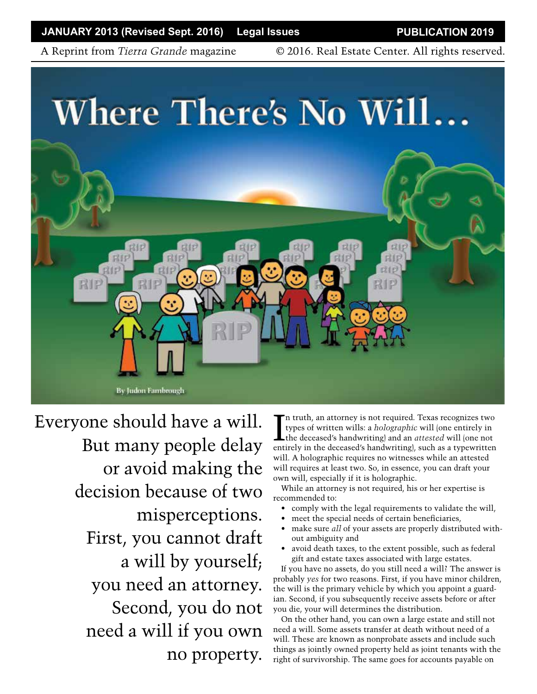**JANUARY 2013 (Revised Sept. 2016) Legal Issues PUBLICATION 2019**

A Reprint from *Tierra Grande* magazine © 2016. Real Estate Center. All rights reserved.



Everyone should have a will. But many people delay or avoid making the decision because of two misperceptions. First, you cannot draft a will by yourself; you need an attorney. Second, you do not need a will if you own no property.

In truth, an attorney is not required. Texas recognizes two<br>types of written wills: a *holographic* will (one entirely in<br>the deceased's handwriting) and an *attested* will (one not<br>entirely in the deceased's handwriting) n truth, an attorney is not required. Texas recognizes two types of written wills: a *holographic* will (one entirely in entirely in the deceased's handwriting), such as a typewritten will. A holographic requires no witnesses while an attested will requires at least two. So, in essence, you can draft your own will, especially if it is holographic.

While an attorney is not required, his or her expertise is recommended to:

- comply with the legal requirements to validate the will,
- meet the special needs of certain beneficiaries,
- make sure *all* of your assets are properly distributed without ambiguity and
- avoid death taxes, to the extent possible, such as federal gift and estate taxes associated with large estates.

If you have no assets, do you still need a will? The answer is probably *yes* for two reasons. First, if you have minor children, the will is the primary vehicle by which you appoint a guardian. Second, if you subsequently receive assets before or after you die, your will determines the distribution.

On the other hand, you can own a large estate and still not need a will. Some assets transfer at death without need of a will. These are known as nonprobate assets and include such things as jointly owned property held as joint tenants with the right of survivorship. The same goes for accounts payable on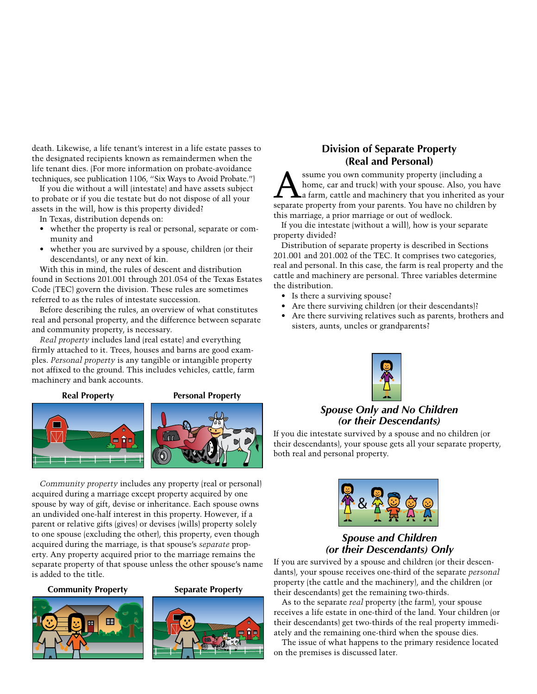death. Likewise, a life tenant's interest in a life estate passes to the designated recipients known as remaindermen when the life tenant dies. (For more information on probate-avoidance techniques, see publication 1106, "Six Ways to Avoid Probate.")

If you die without a will (intestate) and have assets subject to probate or if you die testate but do not dispose of all your assets in the will, how is this property divided?

In Texas, distribution depends on:

- whether the property is real or personal, separate or community and
- whether you are survived by a spouse, children (or their descendants), or any next of kin.

With this in mind, the rules of descent and distribution found in Sections 201.001 through 201.054 of the Texas Estates Code (TEC) govern the division. These rules are sometimes referred to as the rules of intestate succession.

Before describing the rules, an overview of what constitutes real and personal property, and the difference between separate and community property, is necessary.

*Real property* includes land (real estate) and everything firmly attached to it. Trees, houses and barns are good examples. *Personal property* is any tangible or intangible property not affixed to the ground. This includes vehicles, cattle, farm machinery and bank accounts.







*Community property* includes any property (real or personal) acquired during a marriage except property acquired by one spouse by way of gift, devise or inheritance. Each spouse owns an undivided one-half interest in this property. However, if a parent or relative gifts (gives) or devises (wills) property solely to one spouse (excluding the other), this property, even though acquired during the marriage, is that spouse's *separate* property. Any property acquired prior to the marriage remains the separate property of that spouse unless the other spouse's name is added to the title.

#### **Community Property Separate Property**



### **Division of Separate Property (Real and Personal)**

A ssume you own community property (including a home, car and truck) with your spouse. Also, you have a farm, cattle and machinery that you inherited as your home, car and truck) with your spouse. Also, you have separate property from your parents. You have no children by this marriage, a prior marriage or out of wedlock.

If you die intestate (without a will), how is your separate property divided?

Distribution of separate property is described in Sections 201.001 and 201.002 of the TEC. It comprises two categories, real and personal. In this case, the farm is real property and the cattle and machinery are personal. Three variables determine the distribution.

- Is there a surviving spouse?
- Are there surviving children (or their descendants)?
- Are there surviving relatives such as parents, brothers and sisters, aunts, uncles or grandparents?



### *Spouse Only and No Children (or their Descendants)*

If you die intestate survived by a spouse and no children (or their descendants), your spouse gets all your separate property, both real and personal property.



### *Spouse and Children (or their Descendants) Only*

If you are survived by a spouse and children (or their descendants), your spouse receives one-third of the separate *personal*  property (the cattle and the machinery), and the children (or their descendants) get the remaining two-thirds.

As to the separate *real* property (the farm), your spouse receives a life estate in one-third of the land. Your children (or their descendants) get two-thirds of the real property immediately and the remaining one-third when the spouse dies.

The issue of what happens to the primary residence located on the premises is discussed later.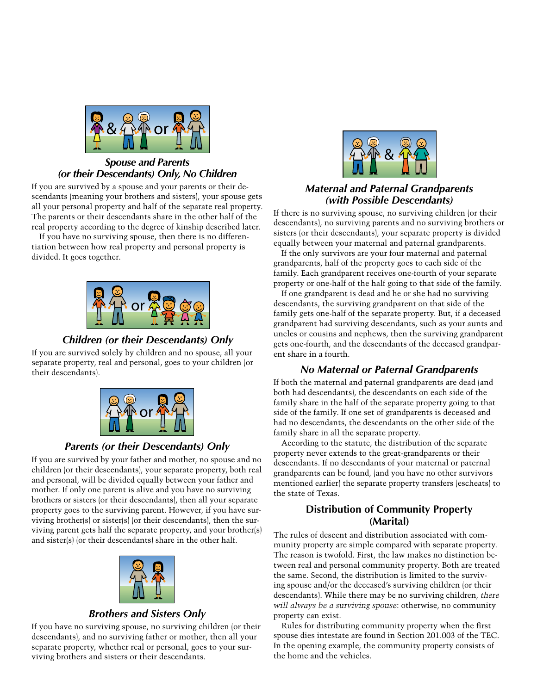

### *Spouse and Parents (or their Descendants) Only, No Children*

If you are survived by a spouse and your parents or their descendants (meaning your brothers and sisters), your spouse gets all your personal property and half of the separate real property. The parents or their descendants share in the other half of the real property according to the degree of kinship described later.

If you have no surviving spouse, then there is no differentiation between how real property and personal property is divided. It goes together.



### *Children (or their Descendants) Only*

If you are survived solely by children and no spouse, all your separate property, real and personal, goes to your children (or their descendants).



# *Parents (or their Descendants) Only*

If you are survived by your father and mother, no spouse and no children (or their descendants), your separate property, both real and personal, will be divided equally between your father and mother. If only one parent is alive and you have no surviving brothers or sisters (or their descendants), then all your separate property goes to the surviving parent. However, if you have surviving brother(s) or sister(s) (or their descendants), then the surviving parent gets half the separate property, and your brother(s) and sister(s) (or their descendants) share in the other half.



#### *Brothers and Sisters Only*

If you have no surviving spouse, no surviving children (or their descendants), and no surviving father or mother, then all your separate property, whether real or personal, goes to your surviving brothers and sisters or their descendants.



### *Maternal and Paternal Grandparents (with Possible Descendants)*

If there is no surviving spouse, no surviving children (or their descendants), no surviving parents and no surviving brothers or sisters (or their descendants), your separate property is divided equally between your maternal and paternal grandparents.

If the only survivors are your four maternal and paternal grandparents, half of the property goes to each side of the family. Each grandparent receives one-fourth of your separate property or one-half of the half going to that side of the family.

If one grandparent is dead and he or she had no surviving descendants, the surviving grandparent on that side of the family gets one-half of the separate property. But, if a deceased grandparent had surviving descendants, such as your aunts and uncles or cousins and nephews, then the surviving grandparent gets one-fourth, and the descendants of the deceased grandparent share in a fourth.

# *No Maternal or Paternal Grandparents*

If both the maternal and paternal grandparents are dead (and both had descendants), the descendants on each side of the family share in the half of the separate property going to that side of the family. If one set of grandparents is deceased and had no descendants, the descendants on the other side of the family share in all the separate property.

According to the statute, the distribution of the separate property never extends to the great-grandparents or their descendants. If no descendants of your maternal or paternal grandparents can be found, (and you have no other survivors mentioned earlier) the separate property transfers (escheats) to the state of Texas.

# **Distribution of Community Property (Marital)**

The rules of descent and distribution associated with community property are simple compared with separate property. The reason is twofold. First, the law makes no distinction between real and personal community property. Both are treated the same. Second, the distribution is limited to the surviving spouse and/or the deceased's surviving children (or their descendants). While there may be no surviving children, *there will always be a surviving spouse*: otherwise, no community property can exist.

Rules for distributing community property when the first spouse dies intestate are found in Section 201.003 of the TEC. In the opening example, the community property consists of the home and the vehicles.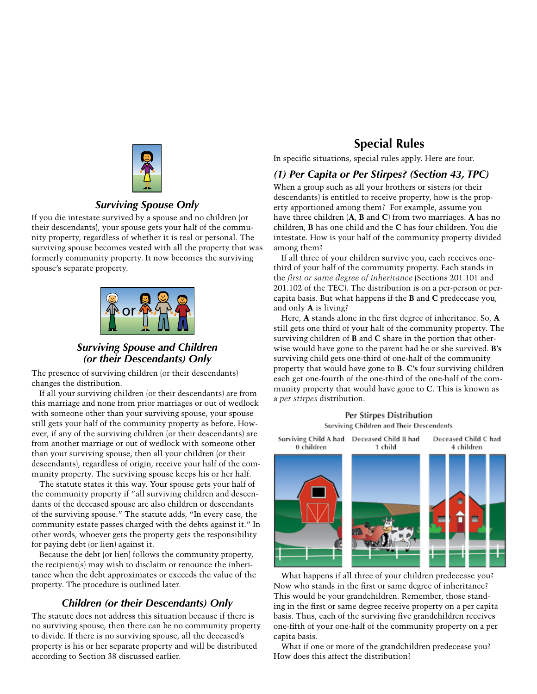

### *Surviving Spouse Only*

If you die intestate survived by a spouse and no children (or their descendants), your spouse gets your half of the community property, regardless of whether it is real or personal. The surviving spouse becomes vested with all the property that was formerly community property. It now becomes the surviving spouse's separate property.



### *Surviving Spouse and Children (or their Descendants) Only*

The presence of surviving children (or their descendants) changes the distribution.

If all your surviving children (or their descendants) are from this marriage and none from prior marriages or out of wedlock with someone other than your surviving spouse, your spouse still gets your half of the community property as before. However, if any of the surviving children (or their descendants) are from another marriage or out of wedlock with someone other than your surviving spouse, then all your children (or their descendants), regardless of origin, receive your half of the community property. The surviving spouse keeps his or her half.

The statute states it this way. Your spouse gets your half of the community property if "all surviving children and descendants of the deceased spouse are also children or descendants of the surviving spouse." The statute adds, "In every case, the community estate passes charged with the debts against it." In other words, whoever gets the property gets the responsibility for paying debt (or lien) against it.

Because the debt (or lien) follows the community property, the recipient(s) may wish to disclaim or renounce the inheritance when the debt approximates or exceeds the value of the property. The procedure is outlined later.

# *Children (or their Descendants) Only*

The statute does not address this situation because if there is no surviving spouse, then there can be no community property to divide. If there is no surviving spouse, all the deceased's property is his or her separate property and will be distributed according to Section 38 discussed earlier.

# **Special Rules**

In specific situations, special rules apply. Here are four.

#### *(1) Per Capita or Per Stirpes? (Section 43, TPC)*

When a group such as all your brothers or sisters (or their descendants) is entitled to receive property, how is the property apportioned among them? For example, assume you have three children (**A**, **B** and **C**) from two marriages. **A** has no children, **B** has one child and the **C** has four children. You die intestate. How is your half of the community property divided among them?

If all three of your children survive you, each receives onethird of your half of the community property. Each stands in the *first or same degree of inheritance* (Sections 201.101 and 201.102 of the TEC). The distribution is on a per-person or percapita basis. But what happens if the **B** and **C** predecease you, and only **A** is living?

Here, **A** stands alone in the first degree of inheritance. So, **A** still gets one third of your half of the community property. The surviving children of **B** and **C** share in the portion that otherwise would have gone to the parent had he or she survived. **B's** surviving child gets one-third of one-half of the community property that would have gone to **B**. **C's** four surviving children each get one-fourth of the one-third of the one-half of the community property that would have gone to **C**. This is known as a *per stirpes* distribution.

Per Stirpes Distribution **Surviving Children and Their Descendents** 



What happens if all three of your children predecease you? Now who stands in the first or same degree of inheritance? This would be your grandchildren. Remember, those standing in the first or same degree receive property on a per capita basis. Thus, each of the surviving five grandchildren receives one-fifth of your one-half of the community property on a per capita basis.

What if one or more of the grandchildren predecease you? How does this affect the distribution?